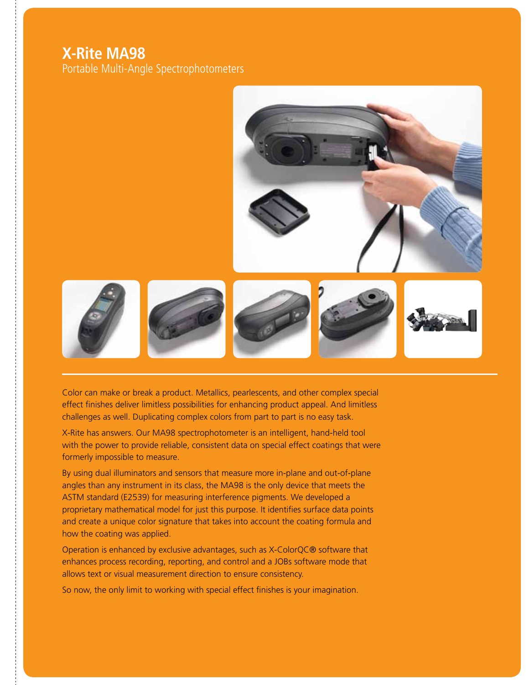## **X-Rite MA98**

Portable Multi-Angle Spectrophotometers



Color can make or break a product. Metallics, pearlescents, and other complex special effect finishes deliver limitless possibilities for enhancing product appeal. And limitless challenges as well. Duplicating complex colors from part to part is no easy task.

X-Rite has answers. Our MA98 spectrophotometer is an intelligent, hand-held tool with the power to provide reliable, consistent data on special effect coatings that were formerly impossible to measure.

By using dual illuminators and sensors that measure more in-plane and out-of-plane angles than any instrument in its class, the MA98 is the only device that meets the ASTM standard (E2539) for measuring interference pigments. We developed a proprietary mathematical model for just this purpose. It identifies surface data points and create a unique color signature that takes into account the coating formula and how the coating was applied.

Operation is enhanced by exclusive advantages, such as X-ColorQC® software that enhances process recording, reporting, and control and a JOBs software mode that allows text or visual measurement direction to ensure consistency.

So now, the only limit to working with special effect finishes is your imagination.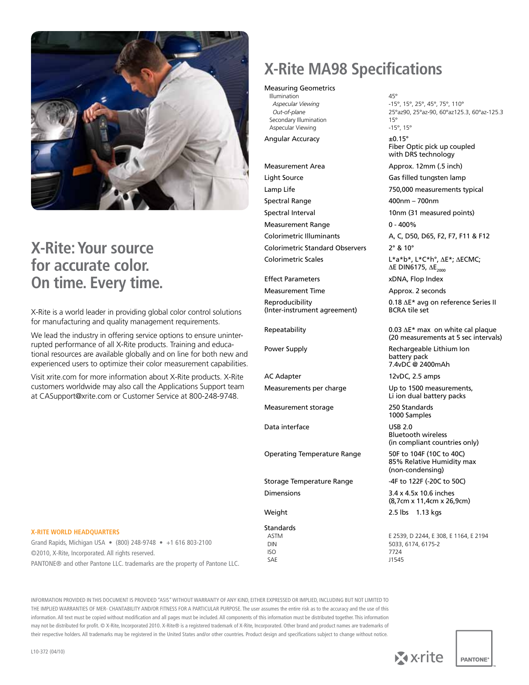

# **X-Rite: Your source for accurate color. On time. Every time.**

X-Rite is a world leader in providing global color control solutions for manufacturing and quality management requirements.

We lead the industry in offering service options to ensure uninterrupted performance of all X-Rite products. Training and educational resources are available globally and on line for both new and experienced users to optimize their color measurement capabilities.

Visit xrite.com for more information about X-Rite products. X-Rite customers worldwide may also call the Applications Support team at CASupport@xrite.com or Customer Service at 800-248-9748.

# **X-Rite MA98 Specifications**

#### Measuring Geometrics

Illumination 45°<br>Aspecular Viewing 15' Secondary Illumination<br>
Aspecular Viewing<br>
15°, 15° Aspecular Viewing

Angular Accuracy  $\pm 0.15^\circ$ 

Light Source Gas filled tungsten lamp Lamp Life 750,000 measurements typical Spectral Range 400nm – 700nm Spectral Interval 10nm (31 measured points) Measurement Range 0 - 400% Colorimetric Illuminants A, C, D50, D65, F2, F7, F11 & F12 Colorimetric Standard Observers 2° & 10° Colorimetric Scales L\*a\*b\*, L\*C\*h°, ∆E\*; ∆ECMC;

Effect Parameters xDNA, Flop Index

(Inter-instrument agreement)

AC Adapter 12vDC, 2.5 amps

Measurement storage 250 Standards

Data interface USB 2.0

Operating Temperature Range 50F to 104F (10C to 40C)

Storage Temperature Range -4F to 122F (-20C to 50C) Dimensions 3.4 x 4.5x 10.6 inches

Standards<br>ASTM

 ISO 7724 SAE J1545

 *Aspecular Viewing* -15°, 15°, 25°, 45°, 75°, 110° *Out-of-plane* 25°az90, 25°az-90, 60°az125.3, 60°az-125.3<br> **25°az-90, 60°az125.3**, 60°az-125.3

> Fiber Optic pick up coupled with DRS technology

Measurement Area Approx. 12mm (.5 inch)

∆E DIN6175, ∆E<sub>2000</sub>

Measurement Time Approx. 2 seconds

Reproducibility 0.18 ∆E\* avg on reference Series II<br>(Inter-instrument agreement) BCRA tile set

Repeatability 0.03 ∆E\* max on white cal plaque (20 measurements at 5 sec intervals)

Power Supply **Rechargeable Lithium Ion** battery pack 7.4vDC @ 2400mAh

Measurements per charge Up to 1500 measurements, Li ion dual battery packs

1000 Samples

Bluetooth wireless (in compliant countries only)

85% Relative Humidity max (non-condensing)

(8,7cm x 11,4cm x 26,9cm)

Weight 2.5 lbs 1.13 kgs

 ASTM E 2539, D 2244, E 308, E 1164, E 2194 DIN 5033, 6174, 6175-2

#### **X-Rite World Headquarters**

Grand Rapids, Michigan USA • (800) 248-9748 • +1 616 803-2100 ©2010, X-Rite, Incorporated. All rights reserved. PANTONE® and other Pantone LLC. trademarks are the property of Pantone LLC.

INFORMATION PROVIDED IN THIS DOCUMENT IS PROVIDED "ASIS" WITHOUT WARRANTY OF ANY KIND, EITHER EXPRESSED OR IMPLIED, INCLUDING BUT NOT LIMITED TO THE IMPLIED WARRANTIES OF MER- CHANTABILITY AND/OR FITNESS FOR A PARTICULAR PURPOSE. The user assumes the entire risk as to the accuracy and the use of this information. All text must be copied without modification and all pages must be included. All components of this information must be distributed together. This information may not be distributed for profit. © X-Rite, Incorporated 2010. X-Rite® is a registered trademark of X-Rite, Incorporated. Other brand and product names are trademarks of their respective holders. All trademarks may be registered in the United States and/or other countries. Product design and specifications subject to change without notice.

![](_page_1_Picture_52.jpeg)

![](_page_1_Picture_53.jpeg)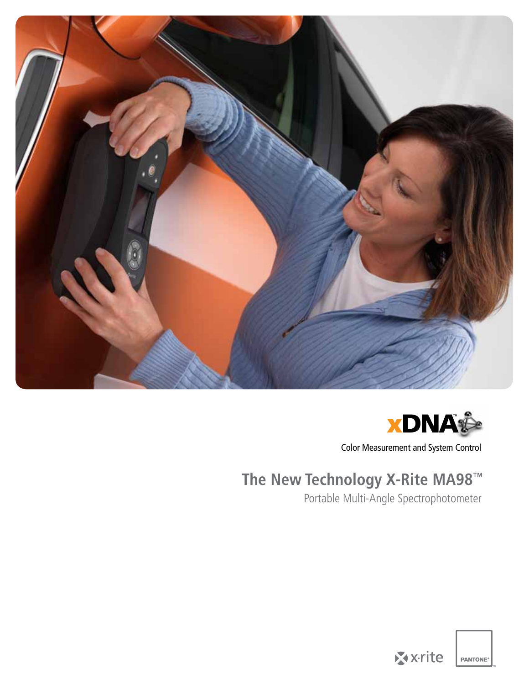![](_page_2_Picture_0.jpeg)

![](_page_2_Picture_1.jpeg)

Color Measurement and System Control

# **The New Technology X-Rite MA98™**

Portable Multi-Angle Spectrophotometer

![](_page_2_Picture_5.jpeg)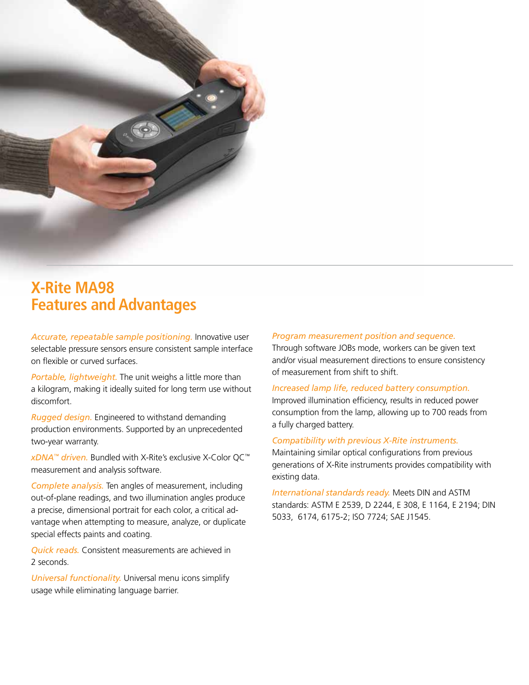![](_page_3_Picture_0.jpeg)

# **X-Rite MA98 Features and Advantages**

*Accurate, repeatable sample positioning.* Innovative user selectable pressure sensors ensure consistent sample interface on flexible or curved surfaces.

*Portable, lightweight.* The unit weighs a little more than a kilogram, making it ideally suited for long term use without discomfort.

*Rugged design.* Engineered to withstand demanding production environments. Supported by an unprecedented two-year warranty.

*xDNA™ driven.* Bundled with X-Rite's exclusive X-Color QC™ measurement and analysis software.

*Complete analysis.* Ten angles of measurement, including out-of-plane readings, and two illumination angles produce a precise, dimensional portrait for each color, a critical advantage when attempting to measure, analyze, or duplicate special effects paints and coating.

*Quick reads.* Consistent measurements are achieved in 2 seconds.

*Universal functionality.* Universal menu icons simplify usage while eliminating language barrier.

#### *Program measurement position and sequence.*

Through software JOBs mode, workers can be given text and/or visual measurement directions to ensure consistency of measurement from shift to shift.

#### *Increased lamp life, reduced battery consumption.*

Improved illumination efficiency, results in reduced power consumption from the lamp, allowing up to 700 reads from a fully charged battery.

#### *Compatibility with previous X-Rite instruments.*

Maintaining similar optical configurations from previous generations of X-Rite instruments provides compatibility with existing data.

*International standards ready.* Meets DIN and ASTM standards: ASTM E 2539, D 2244, E 308, E 1164, E 2194; DIN 5033, 6174, 6175-2; ISO 7724; SAE J1545.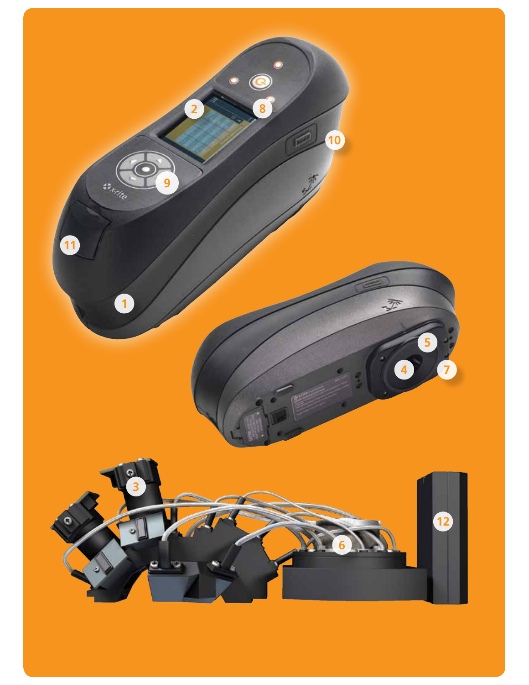![](_page_4_Picture_0.jpeg)